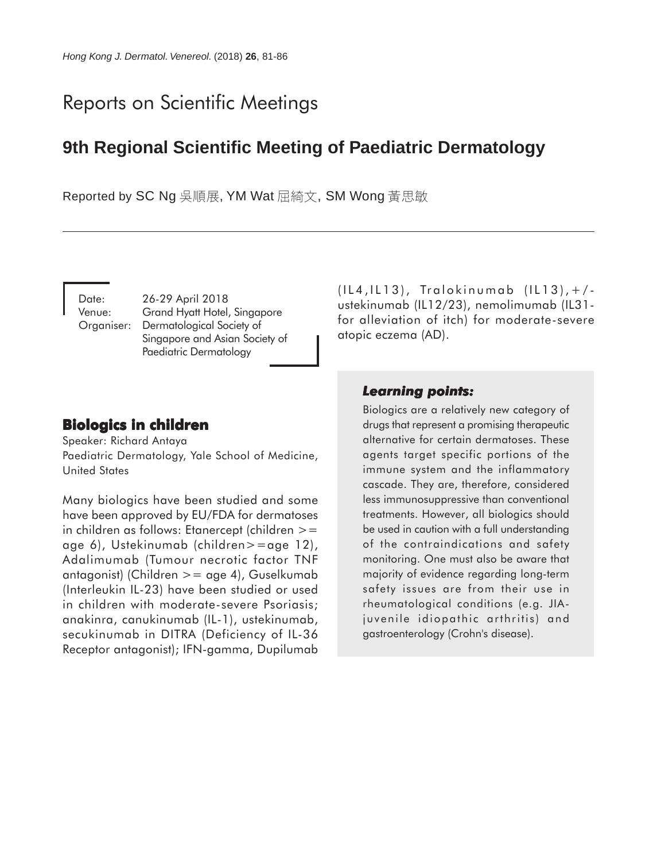# Reports on Scientific Meetings

## **9th Regional Scientific Meeting of Paediatric Dermatology**

Reported by SC Ng 吳順展, YM Wat 屈綺文, SM Wong 黃思敏

Date: 26-29 April 2018 Venue: Grand Hyatt Hotel, Singapore Organiser: Dermatological Society of Singapore and Asian Society of Paediatric Dermatology

## **Biologics in children**

Speaker: Richard Antaya Paediatric Dermatology, Yale School of Medicine, United States

Many biologics have been studied and some have been approved by EU/FDA for dermatoses in children as follows: Etanercept (children  $>=$ age 6), Ustekinumab (children>=age 12), Adalimumab (Tumour necrotic factor TNF antagonist) (Children >= age 4), Guselkumab (Interleukin IL-23) have been studied or used in children with moderate-severe Psoriasis; anakinra, canukinumab (IL-1), ustekinumab, secukinumab in DITRA (Deficiency of IL-36 Receptor antagonist); IFN-gamma, Dupilumab (IL4,IL13), Tralokinumab (IL13),+/ ustekinumab (IL12/23), nemolimumab (IL31 for alleviation of itch) for moderate-severe atopic eczema (AD).

## *Learning points: Learning*

Biologics are a relatively new category of drugs that represent a promising therapeutic alternative for certain dermatoses. These agents target specific portions of the immune system and the inflammatory cascade. They are, therefore, considered less immunosuppressive than conventional treatments. However, all biologics should be used in caution with a full understanding of the contraindications and safety monitoring. One must also be aware that majority of evidence regarding long-term safety issues are from their use in rheumatological conditions (e.g. JIAjuvenile idiopathic arthritis) and gastroenterology (Crohn's disease).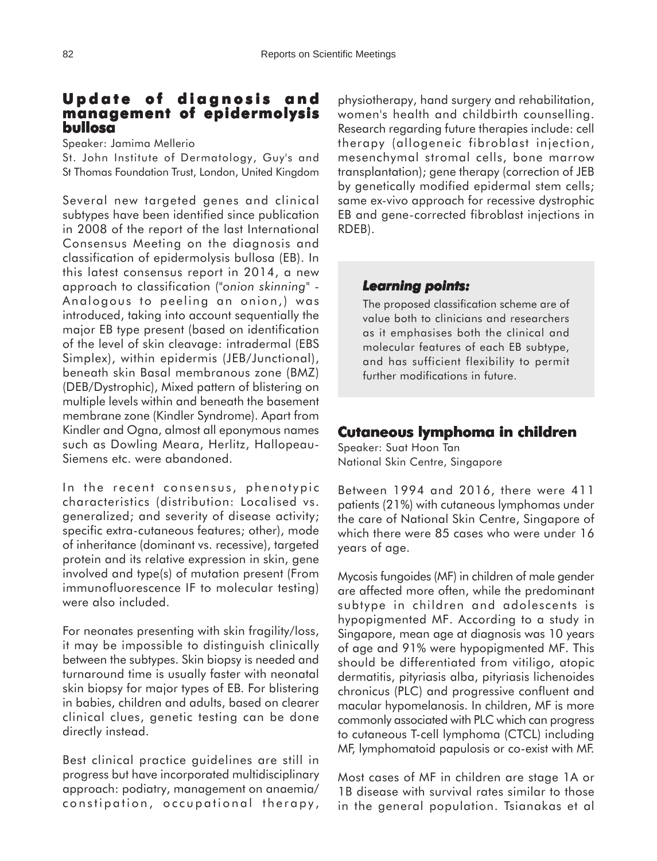## **Update of diagnosis and management of epidermolysis bullosa**

Speaker: Jamima Mellerio

St. John Institute of Dermatology, Guy's and St Thomas Foundation Trust, London, United Kingdom

Several new targeted genes and clinical subtypes have been identified since publication in 2008 of the report of the last International Consensus Meeting on the diagnosis and classification of epidermolysis bullosa (EB). In this latest consensus report in 2014, a new approach to classification ("*onion skinning*" - Analogous to peeling an onion,) was introduced, taking into account sequentially the major EB type present (based on identification of the level of skin cleavage: intradermal (EBS Simplex), within epidermis (JEB/Junctional), beneath skin Basal membranous zone (BMZ) (DEB/Dystrophic), Mixed pattern of blistering on multiple levels within and beneath the basement membrane zone (Kindler Syndrome). Apart from Kindler and Ogna, almost all eponymous names such as Dowling Meara, Herlitz, Hallopeau-Siemens etc. were abandoned.

In the recent consensus, phenotypic characteristics (distribution: Localised vs. generalized; and severity of disease activity; specific extra-cutaneous features; other), mode of inheritance (dominant vs. recessive), targeted protein and its relative expression in skin, gene involved and type(s) of mutation present (From immunofluorescence IF to molecular testing) were also included.

For neonates presenting with skin fragility/loss, it may be impossible to distinguish clinically between the subtypes. Skin biopsy is needed and turnaround time is usually faster with neonatal skin biopsy for major types of EB. For blistering in babies, children and adults, based on clearer clinical clues, genetic testing can be done directly instead.

Best clinical practice guidelines are still in progress but have incorporated multidisciplinary approach: podiatry, management on anaemia/ constipation, occupational therapy,

physiotherapy, hand surgery and rehabilitation, women's health and childbirth counselling. Research regarding future therapies include: cell therapy (allogeneic fibroblast injection, mesenchymal stromal cells, bone marrow transplantation); gene therapy (correction of JEB by genetically modified epidermal stem cells; same ex-vivo approach for recessive dystrophic EB and gene-corrected fibroblast injections in RDEB).

#### *Learning points: Learning points:*

The proposed classification scheme are of value both to clinicians and researchers as it emphasises both the clinical and molecular features of each EB subtype, and has sufficient flexibility to permit further modifications in future.

## **Cutaneous lymphoma in children**

Speaker: Suat Hoon Tan National Skin Centre, Singapore

Between 1994 and 2016, there were 411 patients (21%) with cutaneous lymphomas under the care of National Skin Centre, Singapore of which there were 85 cases who were under 16 years of age.

Mycosis fungoides (MF) in children of male gender are affected more often, while the predominant subtype in children and adolescents is hypopigmented MF. According to a study in Singapore, mean age at diagnosis was 10 years of age and 91% were hypopigmented MF. This should be differentiated from vitiligo, atopic dermatitis, pityriasis alba, pityriasis lichenoides chronicus (PLC) and progressive confluent and macular hypomelanosis. In children, MF is more commonly associated with PLC which can progress to cutaneous T-cell lymphoma (CTCL) including MF, lymphomatoid papulosis or co-exist with MF.

Most cases of MF in children are stage 1A or 1B disease with survival rates similar to those in the general population. Tsianakas et al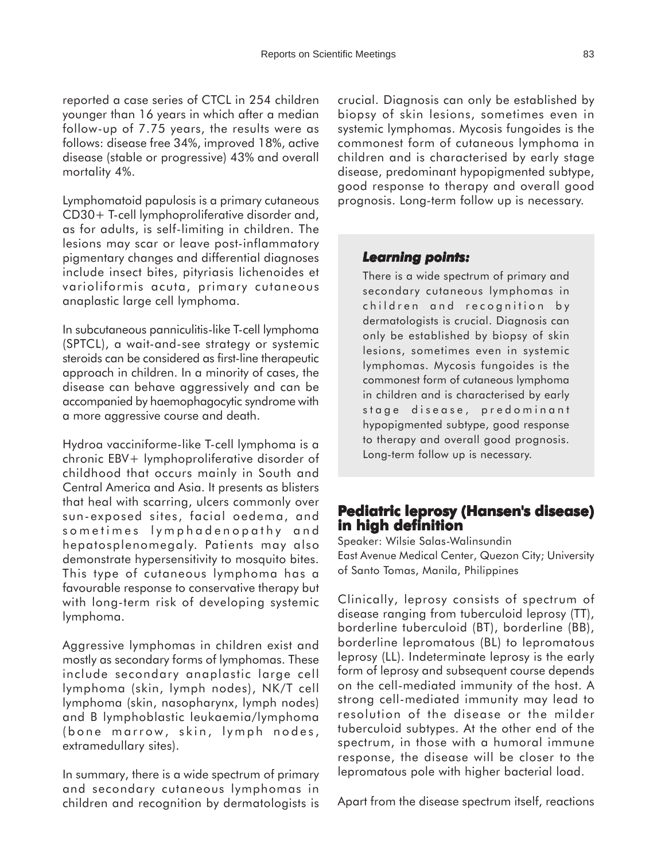reported a case series of CTCL in 254 children younger than 16 years in which after a median follow-up of 7.75 years, the results were as follows: disease free 34%, improved 18%, active disease (stable or progressive) 43% and overall mortality 4%.

Lymphomatoid papulosis is a primary cutaneous CD30+ T-cell lymphoproliferative disorder and, as for adults, is self-limiting in children. The lesions may scar or leave post-inflammatory pigmentary changes and differential diagnoses include insect bites, pityriasis lichenoides et varioliformis acuta, primary cutaneous anaplastic large cell lymphoma.

In subcutaneous panniculitis-like T-cell lymphoma (SPTCL), a wait-and-see strategy or systemic steroids can be considered as first-line therapeutic approach in children. In a minority of cases, the disease can behave aggressively and can be accompanied by haemophagocytic syndrome with a more aggressive course and death.

Hydroa vacciniforme-like T-cell lymphoma is a chronic EBV+ lymphoproliferative disorder of childhood that occurs mainly in South and Central America and Asia. It presents as blisters that heal with scarring, ulcers commonly over sun-exposed sites, facial oedema, and sometimes lymphadenopathy and hepatosplenomegaly. Patients may also demonstrate hypersensitivity to mosquito bites. This type of cutaneous lymphoma has a favourable response to conservative therapy but with long-term risk of developing systemic lymphoma.

Aggressive lymphomas in children exist and mostly as secondary forms of lymphomas. These include secondary anaplastic large cell lymphoma (skin, lymph nodes), NK/T cell lymphoma (skin, nasopharynx, lymph nodes) and B lymphoblastic leukaemia/lymphoma (bone marrow, skin, lymph nodes, extramedullary sites).

In summary, there is a wide spectrum of primary and secondary cutaneous lymphomas in children and recognition by dermatologists is

crucial. Diagnosis can only be established by biopsy of skin lesions, sometimes even in systemic lymphomas. Mycosis fungoides is the commonest form of cutaneous lymphoma in children and is characterised by early stage disease, predominant hypopigmented subtype, good response to therapy and overall good prognosis. Long-term follow up is necessary.

#### *Learning points: Learning points:*

There is a wide spectrum of primary and secondary cutaneous lymphomas in children and recognition by dermatologists is crucial. Diagnosis can only be established by biopsy of skin lesions, sometimes even in systemic lymphomas. Mycosis fungoides is the commonest form of cutaneous lymphoma in children and is characterised by early stage disease, predominant hypopigmented subtype, good response to therapy and overall good prognosis. Long-term follow up is necessary.

## **Pediatric leprosy (Hansen's disease) in high definition**

Speaker: Wilsie Salas-Walinsundin East Avenue Medical Center, Quezon City; University of Santo Tomas, Manila, Philippines

Clinically, leprosy consists of spectrum of disease ranging from tuberculoid leprosy (TT), borderline tuberculoid (BT), borderline (BB), borderline lepromatous (BL) to lepromatous leprosy (LL). Indeterminate leprosy is the early form of leprosy and subsequent course depends on the cell-mediated immunity of the host. A strong cell-mediated immunity may lead to resolution of the disease or the milder tuberculoid subtypes. At the other end of the spectrum, in those with a humoral immune response, the disease will be closer to the lepromatous pole with higher bacterial load.

Apart from the disease spectrum itself, reactions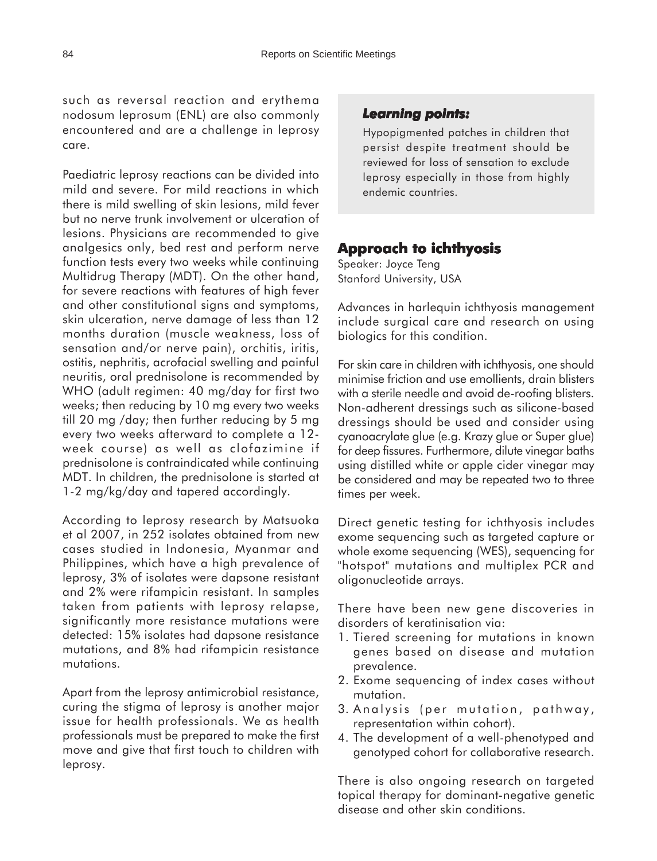such as reversal reaction and erythema nodosum leprosum (ENL) are also commonly encountered and are a challenge in leprosy care.

Paediatric leprosy reactions can be divided into mild and severe. For mild reactions in which there is mild swelling of skin lesions, mild fever but no nerve trunk involvement or ulceration of lesions. Physicians are recommended to give analgesics only, bed rest and perform nerve function tests every two weeks while continuing Multidrug Therapy (MDT). On the other hand, for severe reactions with features of high fever and other constitutional signs and symptoms, skin ulceration, nerve damage of less than 12 months duration (muscle weakness, loss of sensation and/or nerve pain), orchitis, iritis, ostitis, nephritis, acrofacial swelling and painful neuritis, oral prednisolone is recommended by WHO (adult regimen: 40 mg/day for first two weeks; then reducing by 10 mg every two weeks till 20 mg /day; then further reducing by 5 mg every two weeks afterward to complete a 12 week course) as well as clofazimine if prednisolone is contraindicated while continuing MDT. In children, the prednisolone is started at 1-2 mg/kg/day and tapered accordingly.

According to leprosy research by Matsuoka et al 2007, in 252 isolates obtained from new cases studied in Indonesia, Myanmar and Philippines, which have a high prevalence of leprosy, 3% of isolates were dapsone resistant and 2% were rifampicin resistant. In samples taken from patients with leprosy relapse, significantly more resistance mutations were detected: 15% isolates had dapsone resistance mutations, and 8% had rifampicin resistance mutations.

Apart from the leprosy antimicrobial resistance, curing the stigma of leprosy is another major issue for health professionals. We as health professionals must be prepared to make the first move and give that first touch to children with leprosy.

#### *Learning points: Learning points:*

Hypopigmented patches in children that persist despite treatment should be reviewed for loss of sensation to exclude leprosy especially in those from highly endemic countries.

#### **Approach to ichthyosis**

Speaker: Joyce Teng Stanford University, USA

Advances in harlequin ichthyosis management include surgical care and research on using biologics for this condition.

For skin care in children with ichthyosis, one should minimise friction and use emollients, drain blisters with a sterile needle and avoid de-roofing blisters. Non-adherent dressings such as silicone-based dressings should be used and consider using cyanoacrylate glue (e.g. Krazy glue or Super glue) for deep fissures. Furthermore, dilute vinegar baths using distilled white or apple cider vinegar may be considered and may be repeated two to three times per week.

Direct genetic testing for ichthyosis includes exome sequencing such as targeted capture or whole exome sequencing (WES), sequencing for "hotspot" mutations and multiplex PCR and oligonucleotide arrays.

There have been new gene discoveries in disorders of keratinisation via:

- 1. Tiered screening for mutations in known genes based on disease and mutation prevalence.
- 2. Exome sequencing of index cases without mutation.
- 3. Analysis (per mutation, pathway, representation within cohort).
- 4. The development of a well-phenotyped and genotyped cohort for collaborative research.

There is also ongoing research on targeted topical therapy for dominant-negative genetic disease and other skin conditions.